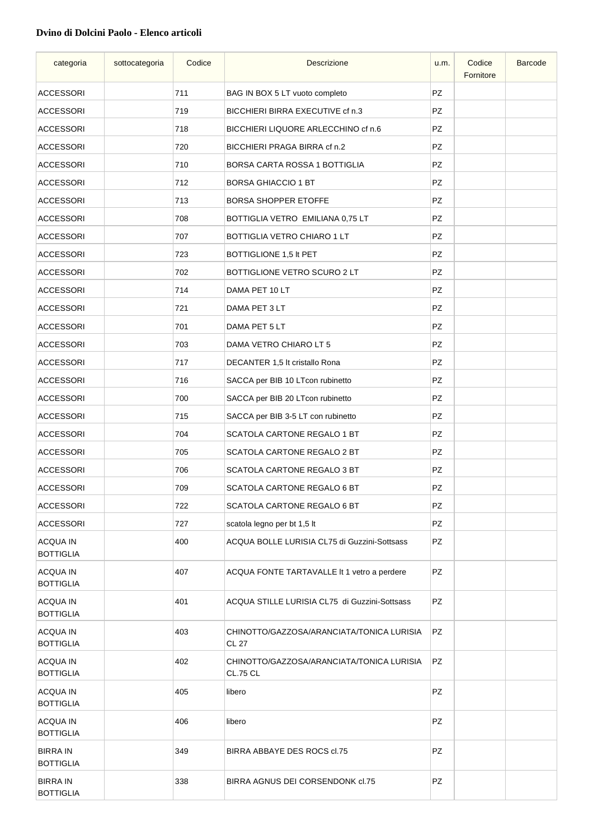## **Dvino di Dolcini Paolo - Elenco articoli**

| categoria                           | sottocategoria | Codice | <b>Descrizione</b>                                           | u.m.      | Codice<br>Fornitore | <b>Barcode</b> |
|-------------------------------------|----------------|--------|--------------------------------------------------------------|-----------|---------------------|----------------|
| <b>ACCESSORI</b>                    |                | 711    | BAG IN BOX 5 LT vuoto completo                               | <b>PZ</b> |                     |                |
| <b>ACCESSORI</b>                    |                | 719    | BICCHIERI BIRRA EXECUTIVE cf n.3                             | PZ        |                     |                |
| ACCESSORI                           |                | 718    | BICCHIERI LIQUORE ARLECCHINO cf n.6                          | PZ        |                     |                |
| ACCESSORI                           |                | 720    | BICCHIERI PRAGA BIRRA cf n.2                                 | PZ        |                     |                |
| ACCESSORI                           |                | 710    | BORSA CARTA ROSSA 1 BOTTIGLIA                                | PZ        |                     |                |
| <b>ACCESSORI</b>                    |                | 712    | <b>BORSA GHIACCIO 1 BT</b>                                   | PZ        |                     |                |
| <b>ACCESSORI</b>                    |                | 713    | <b>BORSA SHOPPER ETOFFE</b>                                  | PZ        |                     |                |
| ACCESSORI                           |                | 708    | BOTTIGLIA VETRO EMILIANA 0,75 LT                             | PZ        |                     |                |
| <b>ACCESSORI</b>                    |                | 707    | BOTTIGLIA VETRO CHIARO 1 LT                                  | PZ        |                     |                |
| <b>ACCESSORI</b>                    |                | 723    | BOTTIGLIONE 1,5 It PET                                       | PZ        |                     |                |
| <b>ACCESSORI</b>                    |                | 702    | BOTTIGLIONE VETRO SCURO 2 LT                                 | PZ        |                     |                |
| <b>ACCESSORI</b>                    |                | 714    | DAMA PET 10 LT                                               | PZ        |                     |                |
| ACCESSORI                           |                | 721    | DAMA PET 3 LT                                                | PZ        |                     |                |
| ACCESSORI                           |                | 701    | DAMA PET 5 LT                                                | PZ        |                     |                |
| ACCESSORI                           |                | 703    | DAMA VETRO CHIARO LT 5                                       | PZ        |                     |                |
| <b>ACCESSORI</b>                    |                | 717    | DECANTER 1,5 It cristallo Rona                               | PZ        |                     |                |
| <b>ACCESSORI</b>                    |                | 716    | SACCA per BIB 10 LTcon rubinetto                             | PZ        |                     |                |
| <b>ACCESSORI</b>                    |                | 700    | SACCA per BIB 20 LTcon rubinetto                             | <b>PZ</b> |                     |                |
| <b>ACCESSORI</b>                    |                | 715    | SACCA per BIB 3-5 LT con rubinetto                           | PZ        |                     |                |
| <b>ACCESSORI</b>                    |                | 704    | SCATOLA CARTONE REGALO 1 BT                                  | <b>PZ</b> |                     |                |
| <b>ACCESSORI</b>                    |                | 705    | SCATOLA CARTONE REGALO 2 BT                                  | PZ        |                     |                |
| <b>ACCESSORI</b>                    |                | 706    | <b>SCATOLA CARTONE REGALO 3 BT</b>                           | PZ        |                     |                |
| <b>ACCESSORI</b>                    |                | 709    | SCATOLA CARTONE REGALO 6 BT                                  | <b>PZ</b> |                     |                |
| <b>ACCESSORI</b>                    |                | 722    | <b>SCATOLA CARTONE REGALO 6 BT</b>                           | PZ        |                     |                |
| <b>ACCESSORI</b>                    |                | 727    | scatola legno per bt 1,5 lt                                  | PZ        |                     |                |
| <b>ACQUA IN</b><br><b>BOTTIGLIA</b> |                | 400    | ACQUA BOLLE LURISIA CL75 di Guzzini-Sottsass                 | PZ        |                     |                |
| <b>ACQUA IN</b><br><b>BOTTIGLIA</b> |                | 407    | ACQUA FONTE TARTAVALLE It 1 vetro a perdere                  | PZ        |                     |                |
| <b>ACQUA IN</b><br><b>BOTTIGLIA</b> |                | 401    | ACQUA STILLE LURISIA CL75 di Guzzini-Sottsass                | PZ        |                     |                |
| <b>ACQUA IN</b><br><b>BOTTIGLIA</b> |                | 403    | CHINOTTO/GAZZOSA/ARANCIATA/TONICA LURISIA<br><b>CL 27</b>    | PZ        |                     |                |
| <b>ACQUA IN</b><br><b>BOTTIGLIA</b> |                | 402    | CHINOTTO/GAZZOSA/ARANCIATA/TONICA LURISIA<br><b>CL.75 CL</b> | PZ        |                     |                |
| <b>ACQUA IN</b><br><b>BOTTIGLIA</b> |                | 405    | libero                                                       | <b>PZ</b> |                     |                |
| <b>ACQUA IN</b><br><b>BOTTIGLIA</b> |                | 406    | libero                                                       | <b>PZ</b> |                     |                |
| <b>BIRRA IN</b><br><b>BOTTIGLIA</b> |                | 349    | BIRRA ABBAYE DES ROCS cl.75                                  | PZ        |                     |                |
| <b>BIRRA IN</b><br><b>BOTTIGLIA</b> |                | 338    | BIRRA AGNUS DEI CORSENDONK cl.75                             | PZ        |                     |                |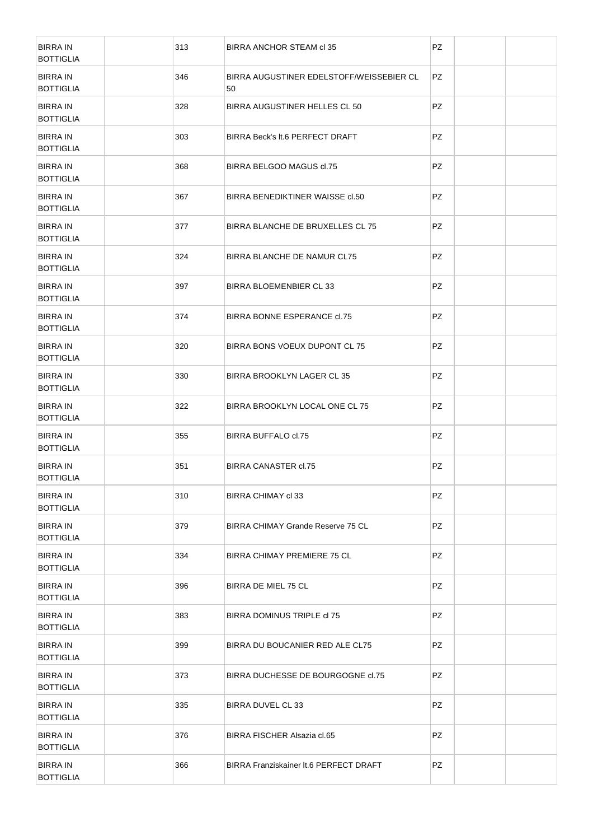| <b>BIRRA IN</b><br><b>BOTTIGLIA</b> |     | 313 | BIRRA ANCHOR STEAM cl 35                       | PZ        |  |
|-------------------------------------|-----|-----|------------------------------------------------|-----------|--|
| <b>BIRRA IN</b><br><b>BOTTIGLIA</b> | 346 |     | BIRRA AUGUSTINER EDELSTOFF/WEISSEBIER CL<br>50 | <b>PZ</b> |  |
| <b>BIRRA IN</b><br><b>BOTTIGLIA</b> |     | 328 | BIRRA AUGUSTINER HELLES CL 50                  | <b>PZ</b> |  |
| <b>BIRRA IN</b><br><b>BOTTIGLIA</b> |     | 303 | BIRRA Beck's It.6 PERFECT DRAFT                | <b>PZ</b> |  |
| <b>BIRRA IN</b><br><b>BOTTIGLIA</b> |     | 368 | BIRRA BELGOO MAGUS cl.75                       | <b>PZ</b> |  |
| <b>BIRRA IN</b><br><b>BOTTIGLIA</b> |     | 367 | BIRRA BENEDIKTINER WAISSE cl.50                | PZ        |  |
| <b>BIRRA IN</b><br><b>BOTTIGLIA</b> |     | 377 | BIRRA BLANCHE DE BRUXELLES CL 75               | PZ        |  |
| <b>BIRRA IN</b><br><b>BOTTIGLIA</b> | 324 |     | BIRRA BLANCHE DE NAMUR CL75                    | PZ        |  |
| <b>BIRRA IN</b><br><b>BOTTIGLIA</b> |     | 397 | BIRRA BLOEMENBIER CL 33                        | PZ        |  |
| <b>BIRRA IN</b><br><b>BOTTIGLIA</b> |     | 374 | BIRRA BONNE ESPERANCE cl.75                    | PZ        |  |
| <b>BIRRA IN</b><br><b>BOTTIGLIA</b> |     | 320 | BIRRA BONS VOEUX DUPONT CL 75                  | <b>PZ</b> |  |
| <b>BIRRA IN</b><br><b>BOTTIGLIA</b> |     | 330 | BIRRA BROOKLYN LAGER CL 35                     | PZ        |  |
| <b>BIRRA IN</b><br><b>BOTTIGLIA</b> |     | 322 | BIRRA BROOKLYN LOCAL ONE CL 75                 | PZ        |  |
| <b>BIRRA IN</b><br><b>BOTTIGLIA</b> | 355 |     | <b>BIRRA BUFFALO cl.75</b>                     | PZ        |  |
| <b>BIRRA IN</b><br><b>BOTTIGLIA</b> | 351 |     | <b>BIRRA CANASTER cl.75</b>                    | PZ        |  |
| <b>BIRRA IN</b><br><b>BOTTIGLIA</b> |     | 310 | BIRRA CHIMAY cl 33                             | PZ        |  |
| <b>BIRRA IN</b><br><b>BOTTIGLIA</b> | 379 |     | BIRRA CHIMAY Grande Reserve 75 CL              | PZ        |  |
| <b>BIRRA IN</b><br><b>BOTTIGLIA</b> | 334 |     | BIRRA CHIMAY PREMIERE 75 CL                    | PZ        |  |
| <b>BIRRA IN</b><br><b>BOTTIGLIA</b> | 396 |     | BIRRA DE MIEL 75 CL                            | PZ        |  |
| <b>BIRRA IN</b><br><b>BOTTIGLIA</b> | 383 |     | BIRRA DOMINUS TRIPLE cl 75                     | PZ        |  |
| <b>BIRRA IN</b><br><b>BOTTIGLIA</b> | 399 |     | BIRRA DU BOUCANIER RED ALE CL75                | PZ        |  |
| <b>BIRRA IN</b><br><b>BOTTIGLIA</b> | 373 |     | BIRRA DUCHESSE DE BOURGOGNE d.75               | PZ        |  |
| <b>BIRRA IN</b><br><b>BOTTIGLIA</b> | 335 |     | BIRRA DUVEL CL 33                              | PZ        |  |
| <b>BIRRA IN</b><br><b>BOTTIGLIA</b> | 376 |     | BIRRA FISCHER Alsazia cl.65                    | PZ        |  |
| <b>BIRRA IN</b><br><b>BOTTIGLIA</b> | 366 |     | BIRRA Franziskainer It.6 PERFECT DRAFT         | PZ        |  |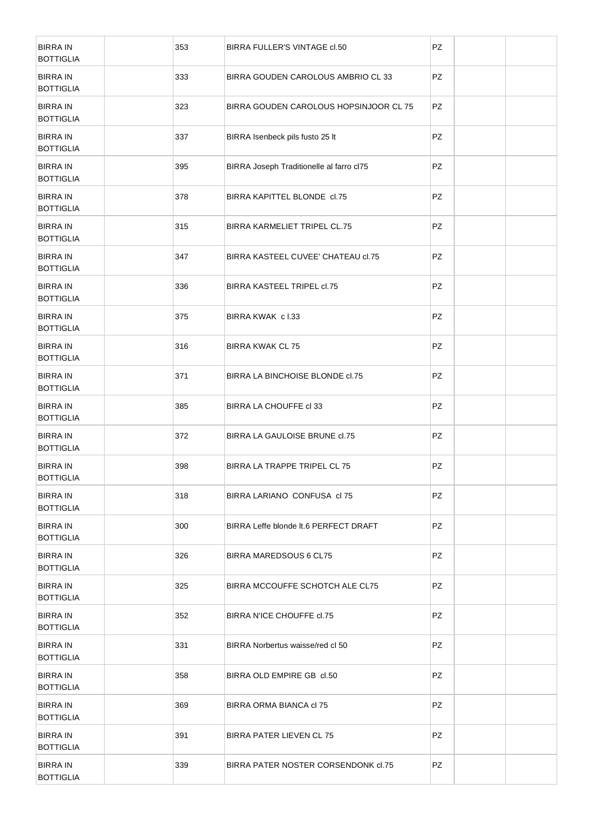| <b>BIRRA IN</b><br><b>BOTTIGLIA</b> | 353 | BIRRA FULLER'S VINTAGE cl.50             | PZ |  |
|-------------------------------------|-----|------------------------------------------|----|--|
| <b>BIRRA IN</b><br><b>BOTTIGLIA</b> | 333 | BIRRA GOUDEN CAROLOUS AMBRIO CL 33       | PZ |  |
| <b>BIRRA IN</b><br><b>BOTTIGLIA</b> | 323 | BIRRA GOUDEN CAROLOUS HOPSINJOOR CL 75   | PZ |  |
| <b>BIRRA IN</b><br><b>BOTTIGLIA</b> | 337 | BIRRA Isenbeck pils fusto 25 lt          | PZ |  |
| <b>BIRRA IN</b><br><b>BOTTIGLIA</b> | 395 | BIRRA Joseph Traditionelle al farro cl75 | PZ |  |
| <b>BIRRA IN</b><br><b>BOTTIGLIA</b> | 378 | BIRRA KAPITTEL BLONDE cl.75              | PZ |  |
| <b>BIRRA IN</b><br><b>BOTTIGLIA</b> | 315 | BIRRA KARMELIET TRIPEL CL.75             | PZ |  |
| <b>BIRRA IN</b><br><b>BOTTIGLIA</b> | 347 | BIRRA KASTEEL CUVEE' CHATEAU cl.75       | PZ |  |
| <b>BIRRA IN</b><br><b>BOTTIGLIA</b> | 336 | BIRRA KASTEEL TRIPEL cl.75               | PZ |  |
| <b>BIRRA IN</b><br><b>BOTTIGLIA</b> | 375 | BIRRA KWAK cl.33                         | PZ |  |
| <b>BIRRA IN</b><br><b>BOTTIGLIA</b> | 316 | <b>BIRRA KWAK CL 75</b>                  | PZ |  |
| <b>BIRRA IN</b><br><b>BOTTIGLIA</b> | 371 | BIRRA LA BINCHOISE BLONDE cl.75          | PZ |  |
| <b>BIRRA IN</b><br><b>BOTTIGLIA</b> | 385 | BIRRA LA CHOUFFE cl 33                   | PZ |  |
| <b>BIRRA IN</b><br><b>BOTTIGLIA</b> | 372 | BIRRA LA GAULOISE BRUNE d.75             | PZ |  |
| <b>BIRRA IN</b><br><b>BOTTIGLIA</b> | 398 | BIRRA LA TRAPPE TRIPEL CL 75             | PZ |  |
| <b>BIRRA IN</b><br><b>BOTTIGLIA</b> | 318 | BIRRA LARIANO CONFUSA cl 75              | PZ |  |
| <b>BIRRA IN</b><br><b>BOTTIGLIA</b> | 300 | BIRRA Leffe blonde It.6 PERFECT DRAFT    | PZ |  |
| <b>BIRRA IN</b><br><b>BOTTIGLIA</b> | 326 | BIRRA MAREDSOUS 6 CL75                   | PZ |  |
| <b>BIRRA IN</b><br><b>BOTTIGLIA</b> | 325 | BIRRA MCCOUFFE SCHOTCH ALE CL75          | PZ |  |
| <b>BIRRA IN</b><br><b>BOTTIGLIA</b> | 352 | BIRRA N'ICE CHOUFFE d.75                 | PZ |  |
| <b>BIRRA IN</b><br><b>BOTTIGLIA</b> | 331 | BIRRA Norbertus waisse/red cl 50         | PZ |  |
| <b>BIRRA IN</b><br><b>BOTTIGLIA</b> | 358 | BIRRA OLD EMPIRE GB cl.50                | PZ |  |
| <b>BIRRA IN</b><br><b>BOTTIGLIA</b> | 369 | BIRRA ORMA BIANCA cl 75                  | PZ |  |
| <b>BIRRA IN</b><br><b>BOTTIGLIA</b> | 391 | BIRRA PATER LIEVEN CL 75                 | PZ |  |
| <b>BIRRA IN</b><br><b>BOTTIGLIA</b> | 339 | BIRRA PATER NOSTER CORSENDONK cl.75      | PZ |  |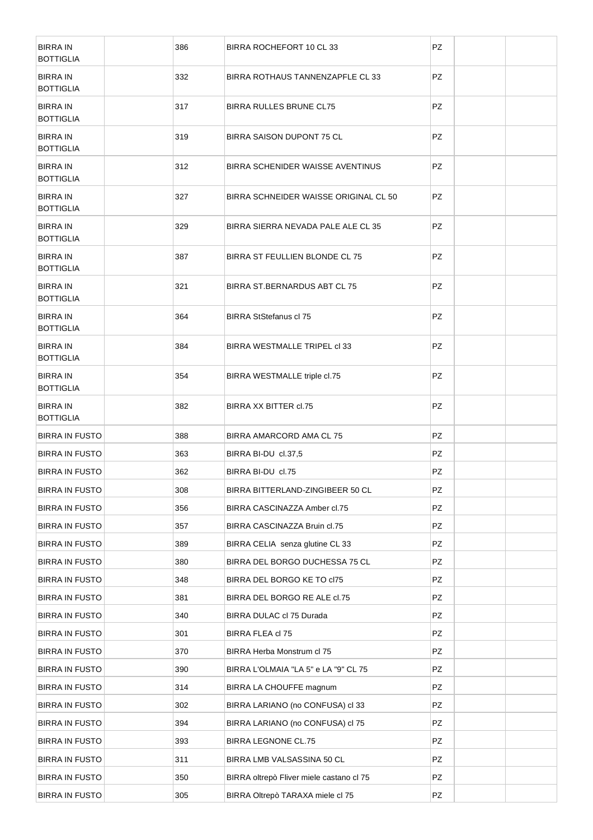| <b>BIRRA IN</b><br><b>BOTTIGLIA</b> | 386 | BIRRA ROCHEFORT 10 CL 33                 | PZ.       |  |
|-------------------------------------|-----|------------------------------------------|-----------|--|
| <b>BIRRA IN</b><br><b>BOTTIGLIA</b> | 332 | BIRRA ROTHAUS TANNENZAPFLE CL 33         | PZ        |  |
| <b>BIRRA IN</b><br><b>BOTTIGLIA</b> | 317 | BIRRA RULLES BRUNE CL75                  | <b>PZ</b> |  |
| <b>BIRRA IN</b><br><b>BOTTIGLIA</b> | 319 | BIRRA SAISON DUPONT 75 CL                | PZ        |  |
| <b>BIRRA IN</b><br><b>BOTTIGLIA</b> | 312 | BIRRA SCHENIDER WAISSE AVENTINUS         | PZ        |  |
| <b>BIRRA IN</b><br><b>BOTTIGLIA</b> | 327 | BIRRA SCHNEIDER WAISSE ORIGINAL CL 50    | PZ        |  |
| <b>BIRRA IN</b><br><b>BOTTIGLIA</b> | 329 | BIRRA SIERRA NEVADA PALE ALE CL 35       | PZ.       |  |
| <b>BIRRA IN</b><br><b>BOTTIGLIA</b> | 387 | BIRRA ST FEULLIEN BLONDE CL 75           | PZ        |  |
| <b>BIRRA IN</b><br><b>BOTTIGLIA</b> | 321 | BIRRA ST. BERNARDUS ABT CL 75            | PZ        |  |
| <b>BIRRA IN</b><br><b>BOTTIGLIA</b> | 364 | <b>BIRRA StStefanus cl 75</b>            | PZ        |  |
| <b>BIRRA IN</b><br><b>BOTTIGLIA</b> | 384 | BIRRA WESTMALLE TRIPEL CI 33             | PZ        |  |
| <b>BIRRA IN</b><br><b>BOTTIGLIA</b> | 354 | BIRRA WESTMALLE triple cl.75             | PZ        |  |
| <b>BIRRA IN</b><br><b>BOTTIGLIA</b> | 382 | BIRRA XX BITTER cl.75                    | PZ        |  |
| <b>BIRRA IN FUSTO</b>               | 388 | BIRRA AMARCORD AMA CL 75                 | PZ        |  |
| <b>BIRRA IN FUSTO</b>               | 363 | BIRRA BI-DU cl.37,5                      | PZ        |  |
| <b>BIRRA IN FUSTO</b>               | 362 | BIRRA BI-DU cl.75                        | PZ        |  |
| <b>BIRRA IN FUSTO</b>               | 308 | BIRRA BITTERLAND-ZINGIBEER 50 CL         | PZ        |  |
| <b>BIRRA IN FUSTO</b>               | 356 | BIRRA CASCINAZZA Amber cl.75             | PZ        |  |
| <b>BIRRA IN FUSTO</b>               | 357 | BIRRA CASCINAZZA Bruin cl.75             | PZ        |  |
| <b>BIRRA IN FUSTO</b>               | 389 | BIRRA CELIA senza glutine CL 33          | PZ        |  |
| <b>BIRRA IN FUSTO</b>               | 380 | BIRRA DEL BORGO DUCHESSA 75 CL           | PZ        |  |
| <b>BIRRA IN FUSTO</b>               | 348 | BIRRA DEL BORGO KE TO cl75               | PZ        |  |
| <b>BIRRA IN FUSTO</b>               | 381 | BIRRA DEL BORGO RE ALE cl.75             | PZ        |  |
| <b>BIRRA IN FUSTO</b>               | 340 | BIRRA DULAC cl 75 Durada                 | PZ        |  |
| <b>BIRRA IN FUSTO</b>               | 301 | BIRRA FLEA cl 75                         | PZ        |  |
| <b>BIRRA IN FUSTO</b>               | 370 | BIRRA Herba Monstrum cl 75               | PZ        |  |
| <b>BIRRA IN FUSTO</b>               | 390 | BIRRA L'OLMAIA "LA 5" e LA "9" CL 75     | PZ        |  |
| <b>BIRRA IN FUSTO</b>               | 314 | BIRRA LA CHOUFFE magnum                  | PZ        |  |
| <b>BIRRA IN FUSTO</b>               | 302 | BIRRA LARIANO (no CONFUSA) cl 33         | PZ        |  |
| <b>BIRRA IN FUSTO</b>               | 394 | BIRRA LARIANO (no CONFUSA) cl 75         | PZ        |  |
| <b>BIRRA IN FUSTO</b>               | 393 | <b>BIRRA LEGNONE CL.75</b>               | PZ        |  |
| <b>BIRRA IN FUSTO</b>               | 311 | BIRRA LMB VALSASSINA 50 CL               | PZ        |  |
| <b>BIRRA IN FUSTO</b>               | 350 | BIRRA oltrepò Fliver miele castano cl 75 | PZ        |  |
| <b>BIRRA IN FUSTO</b>               | 305 | BIRRA Oltrepò TARAXA miele cl 75         | PZ        |  |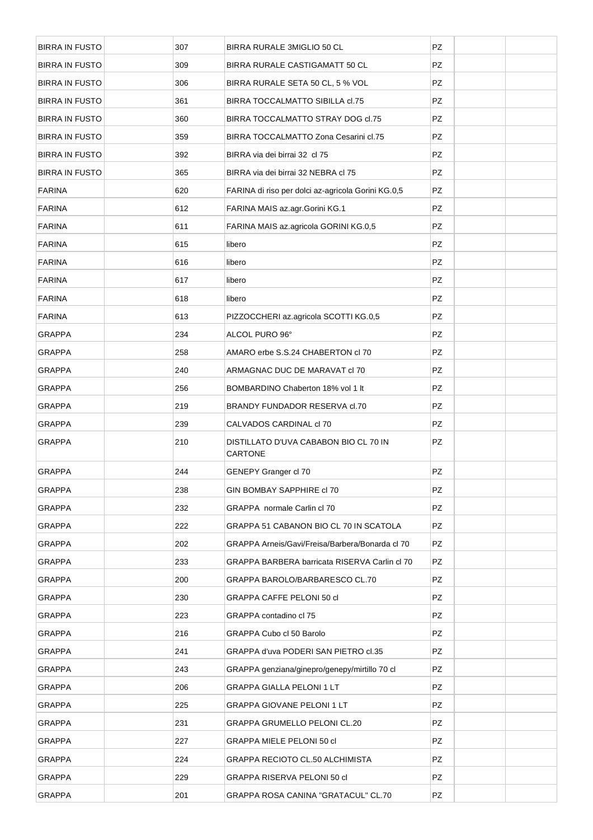| <b>BIRRA IN FUSTO</b> | 307 | BIRRA RURALE 3MIGLIO 50 CL                         | PZ        |  |
|-----------------------|-----|----------------------------------------------------|-----------|--|
| <b>BIRRA IN FUSTO</b> | 309 | BIRRA RURALE CASTIGAMATT 50 CL                     | PZ        |  |
| <b>BIRRA IN FUSTO</b> | 306 | BIRRA RURALE SETA 50 CL, 5 % VOL                   | PZ        |  |
| <b>BIRRA IN FUSTO</b> | 361 | BIRRA TOCCALMATTO SIBILLA cl.75                    | PZ        |  |
| <b>BIRRA IN FUSTO</b> | 360 | BIRRA TOCCALMATTO STRAY DOG cl.75                  | PZ        |  |
| <b>BIRRA IN FUSTO</b> | 359 | BIRRA TOCCALMATTO Zona Cesarini cl.75              | PZ        |  |
| <b>BIRRA IN FUSTO</b> | 392 | BIRRA via dei birrai 32 cl 75                      | PZ        |  |
| <b>BIRRA IN FUSTO</b> | 365 | BIRRA via dei birrai 32 NEBRA cl 75                | PZ        |  |
| <b>FARINA</b>         | 620 | FARINA di riso per dolci az-agricola Gorini KG.0,5 | PZ        |  |
| <b>FARINA</b>         | 612 | FARINA MAIS az.agr.Gorini KG.1                     | PZ        |  |
| <b>FARINA</b>         | 611 | FARINA MAIS az.agricola GORINI KG.0,5              | <b>PZ</b> |  |
| <b>FARINA</b>         | 615 | libero                                             | PZ        |  |
| <b>FARINA</b>         | 616 | libero                                             | <b>PZ</b> |  |
| <b>FARINA</b>         | 617 | libero                                             | PZ        |  |
| <b>FARINA</b>         | 618 | libero                                             | <b>PZ</b> |  |
| <b>FARINA</b>         | 613 | PIZZOCCHERI az.agricola SCOTTI KG.0,5              | PZ        |  |
| <b>GRAPPA</b>         | 234 | ALCOL PURO 96°                                     | PZ        |  |
| <b>GRAPPA</b>         | 258 | AMARO erbe S.S.24 CHABERTON cl 70                  | PZ        |  |
| <b>GRAPPA</b>         | 240 | ARMAGNAC DUC DE MARAVAT cl 70                      | PZ        |  |
| <b>GRAPPA</b>         | 256 | BOMBARDINO Chaberton 18% vol 1 lt                  | PZ        |  |
| <b>GRAPPA</b>         | 219 | BRANDY FUNDADOR RESERVA d.70                       | PZ        |  |
| <b>GRAPPA</b>         | 239 | CALVADOS CARDINAL cl 70                            | PZ        |  |
| <b>GRAPPA</b>         | 210 | DISTILLATO D'UVA CABABON BIO CL 70 IN<br>CARTONE   | PZ        |  |
| <b>GRAPPA</b>         | 244 | GENEPY Granger cl 70                               | PZ        |  |
| <b>GRAPPA</b>         | 238 | GIN BOMBAY SAPPHIRE cl 70                          | PZ        |  |
| <b>GRAPPA</b>         | 232 | GRAPPA normale Carlin cl 70                        | PZ        |  |
| GRAPPA                | 222 | GRAPPA 51 CABANON BIO CL 70 IN SCATOLA             | PZ        |  |
| <b>GRAPPA</b>         | 202 | GRAPPA Arneis/Gavi/Freisa/Barbera/Bonarda cl 70    | PZ        |  |
| GRAPPA                | 233 | GRAPPA BARBERA barricata RISERVA Carlin cl 70      | PZ        |  |
| <b>GRAPPA</b>         | 200 | GRAPPA BAROLO/BARBARESCO CL.70                     | PZ        |  |
| <b>GRAPPA</b>         | 230 | GRAPPA CAFFE PELONI 50 cl                          | PZ        |  |
| <b>GRAPPA</b>         | 223 | GRAPPA contadino cl 75                             | PZ        |  |
| GRAPPA                | 216 | GRAPPA Cubo cl 50 Barolo                           | PZ        |  |
| <b>GRAPPA</b>         | 241 | GRAPPA d'uva PODERI SAN PIETRO cl.35               | PZ        |  |
| GRAPPA                | 243 | GRAPPA genziana/ginepro/genepy/mirtillo 70 cl      | PZ        |  |
| <b>GRAPPA</b>         | 206 | <b>GRAPPA GIALLA PELONI 1 LT</b>                   | PZ        |  |
| GRAPPA                | 225 | <b>GRAPPA GIOVANE PELONI 1 LT</b>                  | PZ        |  |
| GRAPPA                | 231 | <b>GRAPPA GRUMELLO PELONI CL.20</b>                | PZ        |  |
| GRAPPA                | 227 | GRAPPA MIELE PELONI 50 cl                          | PZ        |  |
| GRAPPA                | 224 | <b>GRAPPA RECIOTO CL.50 ALCHIMISTA</b>             | PZ        |  |
| GRAPPA                | 229 | GRAPPA RISERVA PELONI 50 cl                        | PZ        |  |
| <b>GRAPPA</b>         | 201 | GRAPPA ROSA CANINA "GRATACUL" CL.70                | PZ        |  |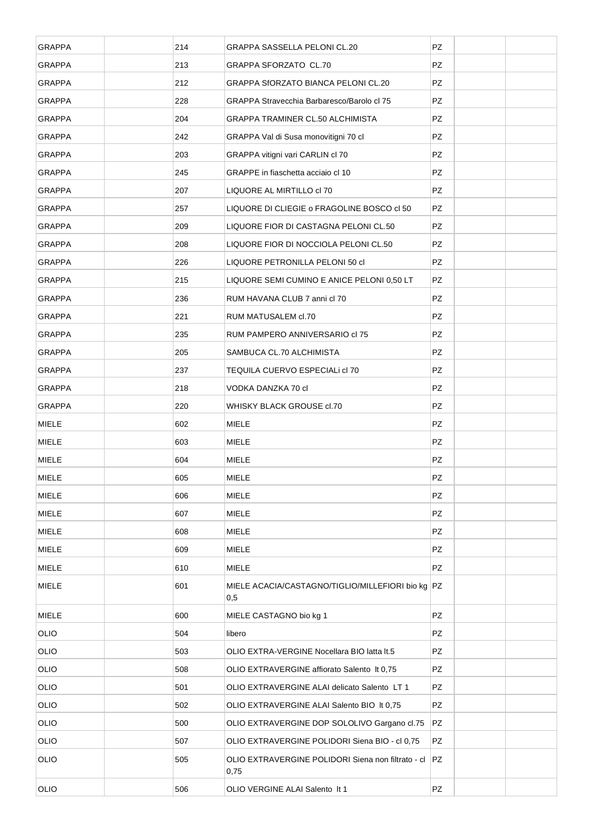| <b>GRAPPA</b> | 214 | <b>GRAPPA SASSELLA PELONI CL.20</b>                        | PZ        |  |
|---------------|-----|------------------------------------------------------------|-----------|--|
| <b>GRAPPA</b> | 213 | GRAPPA SFORZATO CL.70                                      | PZ        |  |
| <b>GRAPPA</b> | 212 | <b>GRAPPA SFORZATO BIANCA PELONI CL.20</b>                 | PZ        |  |
| <b>GRAPPA</b> | 228 | GRAPPA Stravecchia Barbaresco/Barolo cl 75                 | PZ        |  |
| <b>GRAPPA</b> | 204 | <b>GRAPPA TRAMINER CL.50 ALCHIMISTA</b>                    | PZ        |  |
| <b>GRAPPA</b> | 242 | GRAPPA Val di Susa monovitigni 70 cl                       | PZ        |  |
| <b>GRAPPA</b> | 203 | GRAPPA vitigni vari CARLIN cl 70                           | PZ        |  |
| <b>GRAPPA</b> | 245 | GRAPPE in fiaschetta acciaio cl 10                         | PZ        |  |
| <b>GRAPPA</b> | 207 | LIQUORE AL MIRTILLO cl 70                                  | PZ        |  |
| <b>GRAPPA</b> | 257 | LIQUORE DI CLIEGIE o FRAGOLINE BOSCO cl 50                 | PZ        |  |
| <b>GRAPPA</b> | 209 | LIQUORE FIOR DI CASTAGNA PELONI CL.50                      | <b>PZ</b> |  |
| <b>GRAPPA</b> | 208 | LIQUORE FIOR DI NOCCIOLA PELONI CL.50                      | PZ        |  |
| <b>GRAPPA</b> | 226 | LIQUORE PETRONILLA PELONI 50 cl                            | <b>PZ</b> |  |
| <b>GRAPPA</b> | 215 | LIQUORE SEMI CUMINO E ANICE PELONI 0,50 LT                 | PZ        |  |
| <b>GRAPPA</b> | 236 | RUM HAVANA CLUB 7 anni cl 70                               | PZ        |  |
| <b>GRAPPA</b> | 221 | RUM MATUSALEM cl.70                                        | PZ        |  |
| <b>GRAPPA</b> | 235 | RUM PAMPERO ANNIVERSARIO cl 75                             | PZ        |  |
| <b>GRAPPA</b> | 205 | SAMBUCA CL.70 ALCHIMISTA                                   | PZ        |  |
| <b>GRAPPA</b> | 237 | TEQUILA CUERVO ESPECIALI dI 70                             | PZ        |  |
| <b>GRAPPA</b> | 218 | VODKA DANZKA 70 cl                                         | PZ        |  |
| <b>GRAPPA</b> | 220 | WHISKY BLACK GROUSE cl.70                                  | PZ        |  |
|               |     |                                                            |           |  |
| <b>MIELE</b>  | 602 | <b>MIELE</b>                                               | PZ        |  |
| <b>MIELE</b>  | 603 | <b>MIELE</b>                                               | PZ        |  |
| <b>MIELE</b>  | 604 | <b>MIELE</b>                                               | PZ        |  |
| <b>MIELE</b>  | 605 | <b>MIELE</b>                                               | PZ        |  |
| <b>MIELE</b>  | 606 | <b>MIELE</b>                                               | PZ        |  |
| <b>MIELE</b>  | 607 | <b>MIELE</b>                                               | PZ        |  |
| <b>MIELE</b>  | 608 | <b>MIELE</b>                                               | PZ        |  |
| <b>MIELE</b>  | 609 | <b>MIELE</b>                                               | PZ        |  |
| MIELE         | 610 | <b>MIELE</b>                                               | PZ        |  |
| <b>MIELE</b>  | 601 | MIELE ACACIA/CASTAGNO/TIGLIO/MILLEFIORI bio kg PZ<br>0,5   |           |  |
| MIELE         | 600 | MIELE CASTAGNO bio kg 1                                    | PZ        |  |
| <b>OLIO</b>   | 504 | libero                                                     | PZ        |  |
| <b>OLIO</b>   | 503 | OLIO EXTRA-VERGINE Nocellara BIO latta It.5                | PZ        |  |
| <b>OLIO</b>   | 508 | OLIO EXTRAVERGINE affiorato Salento It 0,75                | PZ        |  |
| <b>OLIO</b>   | 501 | OLIO EXTRAVERGINE ALAI delicato Salento LT 1               | PZ        |  |
| <b>OLIO</b>   | 502 | OLIO EXTRAVERGINE ALAI Salento BIO It 0,75                 | PZ        |  |
| <b>OLIO</b>   | 500 | OLIO EXTRAVERGINE DOP SOLOLIVO Gargano cl.75               | PZ        |  |
| <b>OLIO</b>   | 507 | OLIO EXTRAVERGINE POLIDORI Siena BIO - cl 0,75             | PZ        |  |
| <b>OLIO</b>   | 505 | OLIO EXTRAVERGINE POLIDORI Siena non filtrato - cl<br>0,75 | PZ.       |  |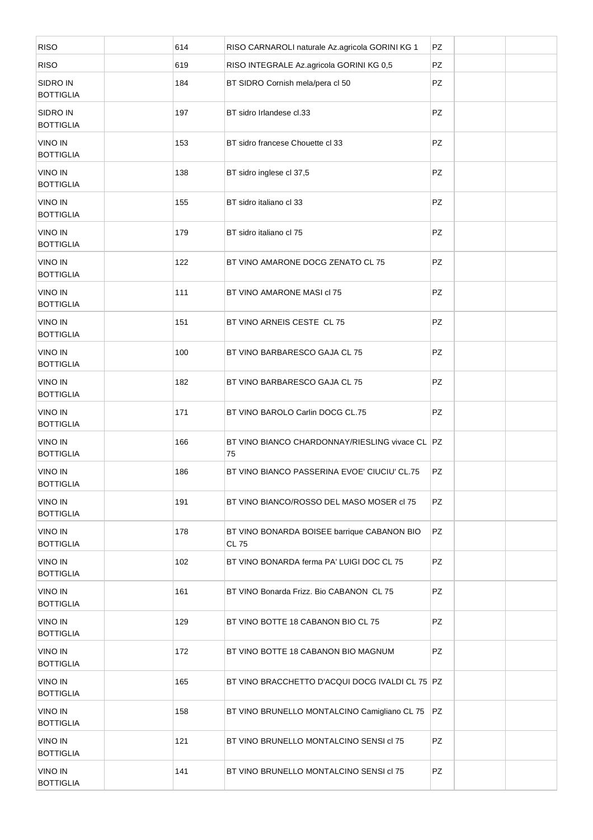| <b>RISO</b>                        | 614 | RISO CARNAROLI naturale Az.agricola GORINI KG 1             | PZ  |  |
|------------------------------------|-----|-------------------------------------------------------------|-----|--|
| <b>RISO</b>                        | 619 | RISO INTEGRALE Az.agricola GORINI KG 0,5                    | PZ. |  |
| SIDRO IN<br><b>BOTTIGLIA</b>       | 184 | BT SIDRO Cornish mela/pera cl 50                            | PZ. |  |
| SIDRO IN<br><b>BOTTIGLIA</b>       | 197 | BT sidro Irlandese cl.33                                    | PZ  |  |
| <b>VINO IN</b><br><b>BOTTIGLIA</b> | 153 | BT sidro francese Chouette cl 33                            | PZ. |  |
| <b>VINO IN</b><br><b>BOTTIGLIA</b> | 138 | BT sidro inglese cl 37,5                                    | PZ. |  |
| <b>VINO IN</b><br><b>BOTTIGLIA</b> | 155 | BT sidro italiano cl 33                                     | PZ  |  |
| <b>VINO IN</b><br><b>BOTTIGLIA</b> | 179 | BT sidro italiano cl 75                                     | PZ  |  |
| <b>VINO IN</b><br><b>BOTTIGLIA</b> | 122 | BT VINO AMARONE DOCG ZENATO CL 75                           | PZ  |  |
| <b>VINO IN</b><br><b>BOTTIGLIA</b> | 111 | BT VINO AMARONE MASI cl 75                                  | PZ  |  |
| <b>VINO IN</b><br><b>BOTTIGLIA</b> | 151 | BT VINO ARNEIS CESTE CL 75                                  | PZ  |  |
| <b>VINO IN</b><br><b>BOTTIGLIA</b> | 100 | BT VINO BARBARESCO GAJA CL 75                               | PZ  |  |
| <b>VINO IN</b><br><b>BOTTIGLIA</b> | 182 | BT VINO BARBARESCO GAJA CL 75                               | PZ  |  |
| <b>VINO IN</b><br><b>BOTTIGLIA</b> | 171 | BT VINO BAROLO Carlin DOCG CL.75                            | PZ  |  |
| <b>VINO IN</b><br><b>BOTTIGLIA</b> | 166 | BT VINO BIANCO CHARDONNAY/RIESLING vivace CL PZ<br>75       |     |  |
| <b>VINO IN</b><br><b>BOTTIGLIA</b> | 186 | BT VINO BIANCO PASSERINA EVOE' CIUCIU' CL.75                | PZ  |  |
| <b>VINO IN</b><br><b>BOTTIGLIA</b> | 191 | BT VINO BIANCO/ROSSO DEL MASO MOSER cl 75                   | PZ  |  |
| <b>VINO IN</b><br><b>BOTTIGLIA</b> | 178 | BT VINO BONARDA BOISEE barrique CABANON BIO<br><b>CL 75</b> | PZ  |  |
| <b>VINO IN</b><br><b>BOTTIGLIA</b> | 102 | BT VINO BONARDA ferma PA' LUIGI DOC CL 75                   | PZ  |  |
| <b>VINO IN</b><br><b>BOTTIGLIA</b> | 161 | BT VINO Bonarda Frizz, Bio CABANON CL 75                    | PZ  |  |
| <b>VINO IN</b><br><b>BOTTIGLIA</b> | 129 | BT VINO BOTTE 18 CABANON BIO CL 75                          | PZ  |  |
| <b>VINO IN</b><br><b>BOTTIGLIA</b> | 172 | BT VINO BOTTE 18 CABANON BIO MAGNUM                         | PZ  |  |
| <b>VINO IN</b><br><b>BOTTIGLIA</b> | 165 | BT VINO BRACCHETTO D'ACQUI DOCG IVALDI CL 75 PZ             |     |  |
| <b>VINO IN</b><br><b>BOTTIGLIA</b> | 158 | BT VINO BRUNELLO MONTALCINO Camigliano CL 75                | PZ  |  |
| <b>VINO IN</b><br><b>BOTTIGLIA</b> | 121 | BT VINO BRUNELLO MONTALCINO SENSI cl 75                     | PZ  |  |
| <b>VINO IN</b><br><b>BOTTIGLIA</b> | 141 | BT VINO BRUNELLO MONTALCINO SENSI cl 75                     | PZ  |  |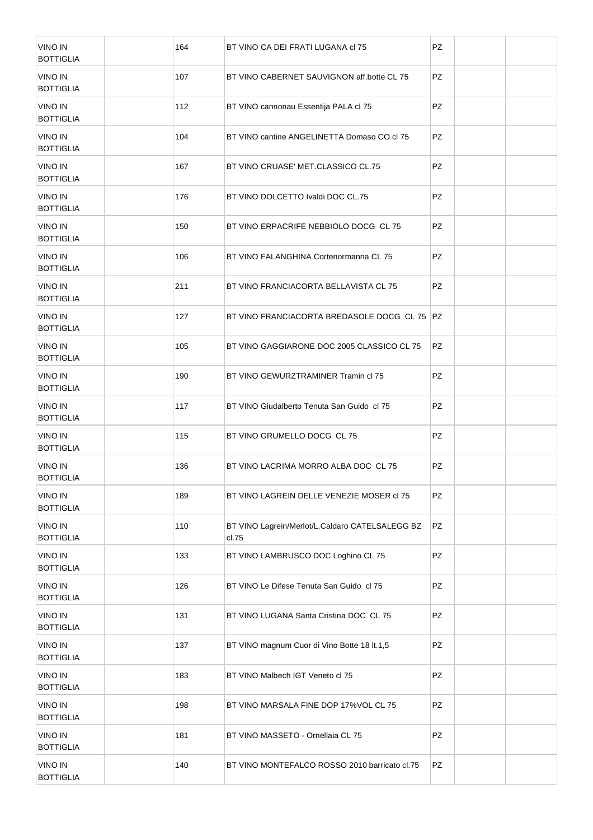| <b>VINO IN</b><br><b>BOTTIGLIA</b> | 164 | BT VINO CA DEI FRATI LUGANA di 75                        | <b>PZ</b> |  |
|------------------------------------|-----|----------------------------------------------------------|-----------|--|
| <b>VINO IN</b><br><b>BOTTIGLIA</b> | 107 | BT VINO CABERNET SAUVIGNON aff.botte CL 75               | PZ.       |  |
| <b>VINO IN</b><br><b>BOTTIGLIA</b> | 112 | BT VINO cannonau Essentija PALA cl 75                    | PZ.       |  |
| <b>VINO IN</b><br><b>BOTTIGLIA</b> | 104 | BT VINO cantine ANGELINETTA Domaso CO cl 75              | PZ.       |  |
| <b>VINO IN</b><br><b>BOTTIGLIA</b> | 167 | BT VINO CRUASE' MET.CLASSICO CL.75                       | PZ.       |  |
| <b>VINO IN</b><br><b>BOTTIGLIA</b> | 176 | BT VINO DOLCETTO Ivaldi DOC CL.75                        | PZ.       |  |
| <b>VINO IN</b><br><b>BOTTIGLIA</b> | 150 | BT VINO ERPACRIFE NEBBIOLO DOCG CL 75                    | PZ.       |  |
| <b>VINO IN</b><br><b>BOTTIGLIA</b> | 106 | BT VINO FALANGHINA Cortenormanna CL 75                   | PZ        |  |
| <b>VINO IN</b><br><b>BOTTIGLIA</b> | 211 | BT VINO FRANCIACORTA BELLAVISTA CL 75                    | PZ        |  |
| <b>VINO IN</b><br><b>BOTTIGLIA</b> | 127 | BT VINO FRANCIACORTA BREDASOLE DOCG CL 75   PZ           |           |  |
| <b>VINO IN</b><br><b>BOTTIGLIA</b> | 105 | BT VINO GAGGIARONE DOC 2005 CLASSICO CL 75               | PZ        |  |
| <b>VINO IN</b><br><b>BOTTIGLIA</b> | 190 | BT VINO GEWURZTRAMINER Tramin cl 75                      | PZ        |  |
| <b>VINO IN</b><br><b>BOTTIGLIA</b> | 117 | BT VINO Giudalberto Tenuta San Guido cl 75               | PZ        |  |
| <b>VINO IN</b><br><b>BOTTIGLIA</b> | 115 | BT VINO GRUMELLO DOCG CL 75                              | PZ        |  |
| <b>VINO IN</b><br><b>BOTTIGLIA</b> | 136 | BT VINO LACRIMA MORRO ALBA DOC CL 75                     | PZ        |  |
| <b>VINO IN</b><br><b>BOTTIGLIA</b> | 189 | BT VINO LAGREIN DELLE VENEZIE MOSER cl 75                | PZ        |  |
| <b>VINO IN</b><br><b>BOTTIGLIA</b> | 110 | BT VINO Lagrein/Merlot/L.Caldaro CATELSALEGG BZ<br>cl.75 | PZ        |  |
| <b>VINO IN</b><br><b>BOTTIGLIA</b> | 133 | BT VINO LAMBRUSCO DOC Loghino CL 75                      | PZ        |  |
| <b>VINO IN</b><br><b>BOTTIGLIA</b> | 126 | BT VINO Le Difese Tenuta San Guido cl 75                 | PZ        |  |
| <b>VINO IN</b><br><b>BOTTIGLIA</b> | 131 | BT VINO LUGANA Santa Cristina DOC CL 75                  | PZ        |  |
| <b>VINO IN</b><br><b>BOTTIGLIA</b> | 137 | BT VINO magnum Cuor di Vino Botte 18 lt.1,5              | PZ        |  |
| <b>VINO IN</b><br><b>BOTTIGLIA</b> | 183 | BT VINO Malbech IGT Veneto cl 75                         | PZ        |  |
| <b>VINO IN</b><br><b>BOTTIGLIA</b> | 198 | BT VINO MARSALA FINE DOP 17%VOL CL 75                    | PZ        |  |
| <b>VINO IN</b><br><b>BOTTIGLIA</b> | 181 | BT VINO MASSETO - Ornellaia CL 75                        | PZ        |  |
| <b>VINO IN</b><br><b>BOTTIGLIA</b> | 140 | BT VINO MONTEFALCO ROSSO 2010 barricato cl.75            | PZ        |  |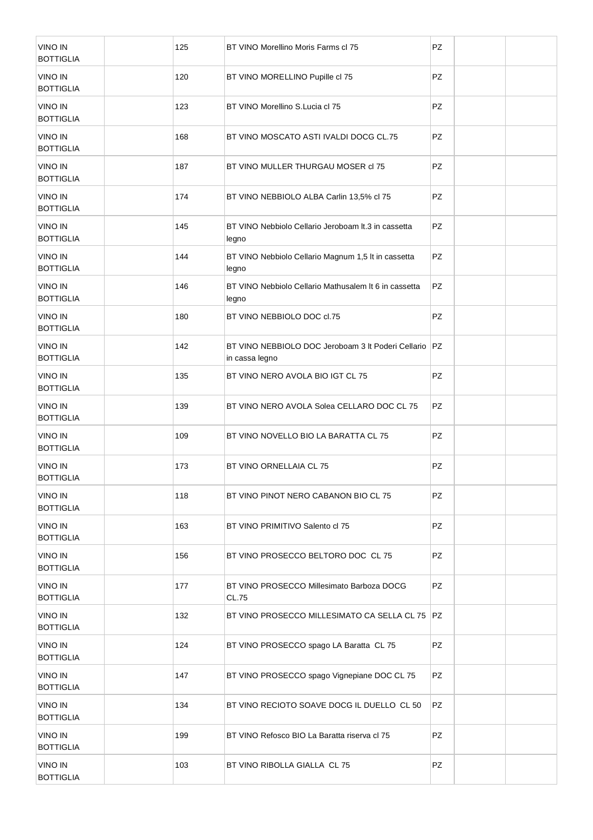| <b>VINO IN</b><br><b>BOTTIGLIA</b> | 125 | BT VINO Morellino Moris Farms cl 75                                  | <b>PZ</b> |  |
|------------------------------------|-----|----------------------------------------------------------------------|-----------|--|
| <b>VINO IN</b><br><b>BOTTIGLIA</b> | 120 | BT VINO MORELLINO Pupille cl 75                                      | <b>PZ</b> |  |
| <b>VINO IN</b><br><b>BOTTIGLIA</b> | 123 | BT VINO Morellino S.Lucia cl 75                                      | <b>PZ</b> |  |
| <b>VINO IN</b><br><b>BOTTIGLIA</b> | 168 | BT VINO MOSCATO ASTI IVALDI DOCG CL.75                               | <b>PZ</b> |  |
| <b>VINO IN</b><br><b>BOTTIGLIA</b> | 187 | BT VINO MULLER THURGAU MOSER cl 75                                   | <b>PZ</b> |  |
| <b>VINO IN</b><br><b>BOTTIGLIA</b> | 174 | BT VINO NEBBIOLO ALBA Carlin 13,5% cl 75                             | <b>PZ</b> |  |
| <b>VINO IN</b><br><b>BOTTIGLIA</b> | 145 | BT VINO Nebbiolo Cellario Jeroboam It.3 in cassetta<br>legno         | PZ        |  |
| <b>VINO IN</b><br><b>BOTTIGLIA</b> | 144 | BT VINO Nebbiolo Cellario Magnum 1,5 It in cassetta<br>legno         | PZ        |  |
| <b>VINO IN</b><br><b>BOTTIGLIA</b> | 146 | BT VINO Nebbiolo Cellario Mathusalem It 6 in cassetta<br>legno       | PZ        |  |
| <b>VINO IN</b><br><b>BOTTIGLIA</b> | 180 | BT VINO NEBBIOLO DOC d.75                                            | PZ        |  |
| <b>VINO IN</b><br><b>BOTTIGLIA</b> | 142 | BT VINO NEBBIOLO DOC Jeroboam 3 It Poderi Cellario<br>in cassa legno | PZ        |  |
| <b>VINO IN</b><br><b>BOTTIGLIA</b> | 135 | BT VINO NERO AVOLA BIO IGT CL 75                                     | PZ        |  |
| <b>VINO IN</b><br><b>BOTTIGLIA</b> | 139 | BT VINO NERO AVOLA Solea CELLARO DOC CL 75                           | PZ        |  |
| <b>VINO IN</b><br><b>BOTTIGLIA</b> | 109 | BT VINO NOVELLO BIO LA BARATTA CL 75                                 | PZ        |  |
| <b>VINO IN</b><br><b>BOTTIGLIA</b> | 173 | BT VINO ORNELLAIA CL 75                                              | PZ        |  |
| <b>VINO IN</b><br><b>BOTTIGLIA</b> | 118 | BT VINO PINOT NERO CABANON BIO CL 75                                 | PZ        |  |
| <b>VINO IN</b><br><b>BOTTIGLIA</b> | 163 | BT VINO PRIMITIVO Salento d 75                                       | PZ        |  |
| <b>VINO IN</b><br><b>BOTTIGLIA</b> | 156 | BT VINO PROSECCO BELTORO DOC CL 75                                   | PZ        |  |
| <b>VINO IN</b><br><b>BOTTIGLIA</b> | 177 | BT VINO PROSECCO Millesimato Barboza DOCG<br>CL.75                   | PZ        |  |
| <b>VINO IN</b><br><b>BOTTIGLIA</b> | 132 | BT VINO PROSECCO MILLESIMATO CA SELLA CL 75   PZ                     |           |  |
| <b>VINO IN</b><br><b>BOTTIGLIA</b> | 124 | BT VINO PROSECCO spago LA Baratta CL 75                              | PZ        |  |
| <b>VINO IN</b><br><b>BOTTIGLIA</b> | 147 | BT VINO PROSECCO spago Vignepiane DOC CL 75                          | PZ        |  |
| <b>VINO IN</b><br><b>BOTTIGLIA</b> | 134 | BT VINO RECIOTO SOAVE DOCG IL DUELLO CL 50                           | PZ        |  |
| <b>VINO IN</b><br><b>BOTTIGLIA</b> | 199 | BT VINO Refosco BIO La Baratta riserva cl 75                         | PZ        |  |
| <b>VINO IN</b><br><b>BOTTIGLIA</b> | 103 | BT VINO RIBOLLA GIALLA CL 75                                         | PZ        |  |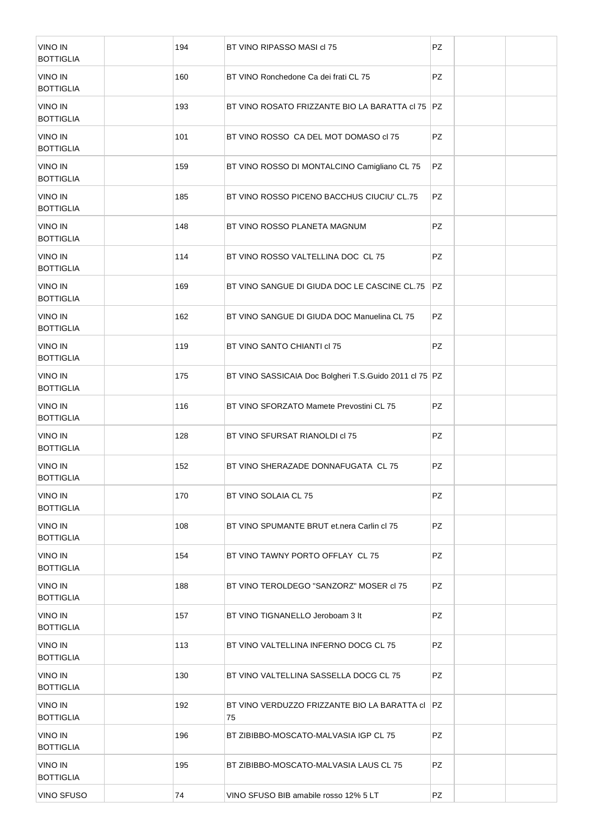| <b>VINO IN</b><br><b>BOTTIGLIA</b> | 194 | BT VINO RIPASSO MASI cl 75                              | PZ        |  |
|------------------------------------|-----|---------------------------------------------------------|-----------|--|
| <b>VINO IN</b><br><b>BOTTIGLIA</b> | 160 | BT VINO Ronchedone Ca dei frati CL 75                   | PZ        |  |
| <b>VINO IN</b><br><b>BOTTIGLIA</b> | 193 | BT VINO ROSATO FRIZZANTE BIO LA BARATTA CI 75   PZ      |           |  |
| <b>VINO IN</b><br><b>BOTTIGLIA</b> | 101 | BT VINO ROSSO CA DEL MOT DOMASO cl 75                   | PZ        |  |
| <b>VINO IN</b><br><b>BOTTIGLIA</b> | 159 | BT VINO ROSSO DI MONTALCINO Camigliano CL 75            | PZ        |  |
| <b>VINO IN</b><br><b>BOTTIGLIA</b> | 185 | BT VINO ROSSO PICENO BACCHUS CIUCIU' CL.75              | PZ        |  |
| <b>VINO IN</b><br><b>BOTTIGLIA</b> | 148 | BT VINO ROSSO PLANETA MAGNUM                            | PZ        |  |
| <b>VINO IN</b><br><b>BOTTIGLIA</b> | 114 | BT VINO ROSSO VALTELLINA DOC CL 75                      | PZ        |  |
| <b>VINO IN</b><br><b>BOTTIGLIA</b> | 169 | BT VINO SANGUE DI GIUDA DOC LE CASCINE CL.75            | <b>PZ</b> |  |
| <b>VINO IN</b><br><b>BOTTIGLIA</b> | 162 | BT VINO SANGUE DI GIUDA DOC Manuelina CL 75             | PZ        |  |
| <b>VINO IN</b><br><b>BOTTIGLIA</b> | 119 | BT VINO SANTO CHIANTI cl 75                             | PZ        |  |
| <b>VINO IN</b><br><b>BOTTIGLIA</b> | 175 | BT VINO SASSICAIA Doc Bolgheri T.S.Guido 2011 cl 75 PZ  |           |  |
| <b>VINO IN</b><br><b>BOTTIGLIA</b> | 116 | BT VINO SFORZATO Mamete Prevostini CL 75                | PZ        |  |
| <b>VINO IN</b><br><b>BOTTIGLIA</b> | 128 | BT VINO SFURSAT RIANOLDI cl 75                          | PZ        |  |
| <b>VINO IN</b><br><b>BOTTIGLIA</b> | 152 | BT VINO SHERAZADE DONNAFUGATA CL 75                     | PZ        |  |
| <b>VINO IN</b><br><b>BOTTIGLIA</b> | 170 | BT VINO SOLAIA CL 75                                    | PZ        |  |
| <b>VINO IN</b><br><b>BOTTIGLIA</b> | 108 | BT VINO SPUMANTE BRUT et nera Carlin cl 75              | PZ        |  |
| <b>VINO IN</b><br><b>BOTTIGLIA</b> | 154 | BT VINO TAWNY PORTO OFFLAY CL 75                        | PZ        |  |
| <b>VINO IN</b><br><b>BOTTIGLIA</b> | 188 | BT VINO TEROLDEGO "SANZORZ" MOSER cl 75                 | PZ        |  |
| <b>VINO IN</b><br><b>BOTTIGLIA</b> | 157 | BT VINO TIGNANELLO Jeroboam 3 It                        | PZ        |  |
| <b>VINO IN</b><br><b>BOTTIGLIA</b> | 113 | BT VINO VALTELLINA INFERNO DOCG CL 75                   | PZ        |  |
| <b>VINO IN</b><br><b>BOTTIGLIA</b> | 130 | BT VINO VALTELLINA SASSELLA DOCG CL 75                  | PZ        |  |
| <b>VINO IN</b><br><b>BOTTIGLIA</b> | 192 | BT VINO VERDUZZO FRIZZANTE BIO LA BARATTA CI   PZ<br>75 |           |  |
| <b>VINO IN</b><br><b>BOTTIGLIA</b> | 196 | BT ZIBIBBO-MOSCATO-MALVASIA IGP CL 75                   | PZ        |  |
| <b>VINO IN</b><br><b>BOTTIGLIA</b> | 195 | BT ZIBIBBO-MOSCATO-MALVASIA LAUS CL 75                  | PZ        |  |
| <b>VINO SFUSO</b>                  | 74  | VINO SFUSO BIB amabile rosso 12% 5 LT                   | PZ        |  |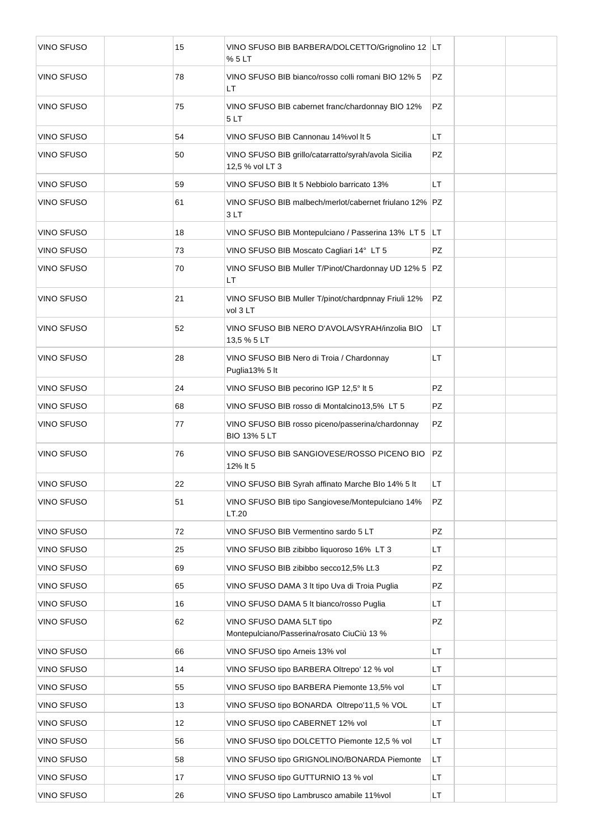| <b>VINO SFUSO</b> | 15 | VINO SFUSO BIB BARBERA/DOLCETTO/Grignolino 12 LT<br>% 5 LT              |           |  |
|-------------------|----|-------------------------------------------------------------------------|-----------|--|
| <b>VINO SFUSO</b> | 78 | VINO SFUSO BIB bianco/rosso colli romani BIO 12% 5<br>LT                | <b>PZ</b> |  |
| <b>VINO SFUSO</b> | 75 | VINO SFUSO BIB cabernet franc/chardonnay BIO 12%<br>5 LT                | <b>PZ</b> |  |
| <b>VINO SFUSO</b> | 54 | VINO SFUSO BIB Cannonau 14% vol It 5                                    | LT        |  |
| <b>VINO SFUSO</b> | 50 | VINO SFUSO BIB grillo/catarratto/syrah/avola Sicilia<br>12,5 % vol LT 3 | PZ        |  |
| <b>VINO SFUSO</b> | 59 | VINO SFUSO BIB It 5 Nebbiolo barricato 13%                              | <b>LT</b> |  |
| <b>VINO SFUSO</b> | 61 | VINO SFUSO BIB malbech/merlot/cabernet friulano 12% PZ<br>3 LT          |           |  |
| <b>VINO SFUSO</b> | 18 | VINO SFUSO BIB Montepulciano / Passerina 13% LT 5                       | LT.       |  |
| <b>VINO SFUSO</b> | 73 | VINO SFUSO BIB Moscato Cagliari 14° LT 5                                | <b>PZ</b> |  |
| <b>VINO SFUSO</b> | 70 | VINO SFUSO BIB Muller T/Pinot/Chardonnay UD 12% 5 PZ<br><b>LT</b>       |           |  |
| <b>VINO SFUSO</b> | 21 | VINO SFUSO BIB Muller T/pinot/chardpnnay Friuli 12%<br>vol 3 LT         | PZ        |  |
| <b>VINO SFUSO</b> | 52 | VINO SFUSO BIB NERO D'AVOLA/SYRAH/inzolia BIO<br>13,5 % 5 LT            | LT.       |  |
| <b>VINO SFUSO</b> | 28 | VINO SFUSO BIB Nero di Troia / Chardonnay<br>Puglia13% 5 lt             | LT        |  |
| <b>VINO SFUSO</b> | 24 | VINO SFUSO BIB pecorino IGP 12,5° It 5                                  | PZ        |  |
| <b>VINO SFUSO</b> | 68 | VINO SFUSO BIB rosso di Montalcino13,5% LT 5                            | PZ        |  |
| <b>VINO SFUSO</b> | 77 | VINO SFUSO BIB rosso piceno/passerina/chardonnay<br><b>BIO 13% 5 LT</b> | PZ        |  |
| <b>VINO SFUSO</b> | 76 | VINO SFUSO BIB SANGIOVESE/ROSSO PICENO BIO<br>12% It 5                  | PZ.       |  |
| <b>VINO SFUSO</b> | 22 | VINO SFUSO BIB Syrah affinato Marche Blo 14% 5 It                       | LT.       |  |
| <b>VINO SFUSO</b> | 51 | VINO SFUSO BIB tipo Sangiovese/Montepulciano 14%<br>LT.20               | PZ        |  |
| VINO SFUSO        | 72 | VINO SFUSO BIB Vermentino sardo 5 LT                                    | <b>PZ</b> |  |
| VINO SFUSO        | 25 | VINO SFUSO BIB zibibbo liquoroso 16% LT 3                               | LT        |  |
| <b>VINO SFUSO</b> | 69 | VINO SFUSO BIB zibibbo secco12,5% Lt.3                                  | PZ        |  |
| VINO SFUSO        | 65 | VINO SFUSO DAMA 3 It tipo Uva di Troia Puglia                           | PZ        |  |
| VINO SFUSO        | 16 | VINO SFUSO DAMA 5 It bianco/rosso Puglia                                | LT        |  |
| VINO SFUSO        | 62 | VINO SFUSO DAMA 5LT tipo<br>Montepulciano/Passerina/rosato CiuCiù 13 %  | PZ        |  |
| <b>VINO SFUSO</b> | 66 | VINO SFUSO tipo Arneis 13% vol                                          | LT        |  |
| VINO SFUSO        | 14 | VINO SFUSO tipo BARBERA Oltrepo' 12 % vol                               | LT        |  |
| VINO SFUSO        | 55 | VINO SFUSO tipo BARBERA Piemonte 13,5% vol                              | LT        |  |
| VINO SFUSO        | 13 | VINO SFUSO tipo BONARDA Oltrepo'11,5 % VOL                              | LT        |  |
| VINO SFUSO        | 12 | VINO SFUSO tipo CABERNET 12% vol                                        | LT        |  |
| VINO SFUSO        | 56 | VINO SFUSO tipo DOLCETTO Piemonte 12,5 % vol                            | LT        |  |
| VINO SFUSO        | 58 | VINO SFUSO tipo GRIGNOLINO/BONARDA Piemonte                             | LT        |  |
| VINO SFUSO        | 17 | VINO SFUSO tipo GUTTURNIO 13 % vol                                      | LT        |  |
| VINO SFUSO        | 26 | VINO SFUSO tipo Lambrusco amabile 11%vol                                | LT.       |  |